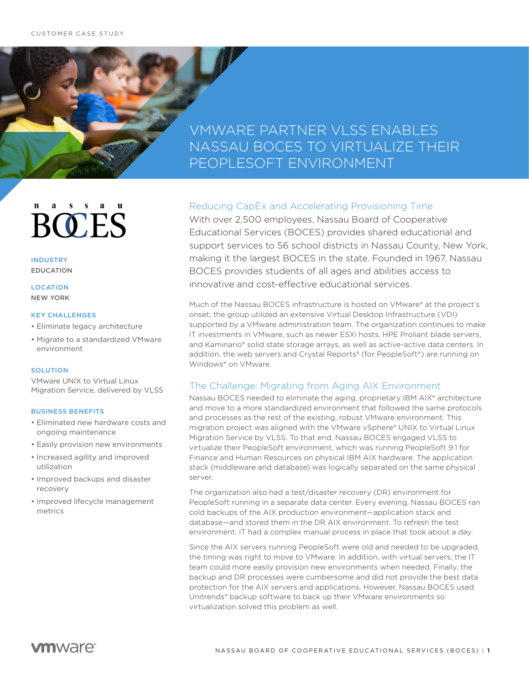## VMWARE PARTNER VLSS ENABLES NASSAU BOCES TO VIRTUALIZE THEIR PEOPLESOFT ENVIRONMENT

# **BOCES**

INDUSTRY EDUCATION

**LOCATION** NEW YORK

#### KEY CHALLENGES

- Eliminate legacy architecture
- Migrate to a standardized VMware environment

#### **SOLUTION**

VMware UNIX to Virtual Linux Migration Service, delivered by VLSS

#### BUSINESS BENEFITS

- Eliminated new hardware costs and ongoing maintenance
- Easily provision new environments
- Increased agility and improved utilization
- Improved backups and disaster recovery
- Improved lifecycle management metrics

## Reducing CapEx and Accelerating Provisioning Time

With over 2,500 employees, Nassau Board of Cooperative Educational Services (BOCES) provides shared educational and support services to 56 school districts in Nassau County, New York, making it the largest BOCES in the state. Founded in 1967, Nassau BOCES provides students of all ages and abilities access to innovative and cost-effective educational services.

Much of the Nassau BOCES infrastructure is hosted on VMware® at the project's onset; the group utilized an extensive Virtual Desktop Infrastructure (VDI) supported by a VMware administration team. The organization continues to make IT investments in VMware, such as newer ESXi hosts, HPE Proliant blade servers, and Kaminario® solid state storage arrays, as well as active-active data centers. In addition, the web servers and Crystal Reports® (for PeopleSoft®) are running on Windows® on VMware.

## The Challenge: Migrating from Aging AIX Environment

Nassau BOCES needed to eliminate the aging, proprietary IBM AIX® architecture and move to a more standardized environment that followed the same protocols and processes as the rest of the existing, robust VMware environment. This migration project was aligned with the VMware vSphere® UNIX to Virtual Linux Migration Service by VLSS. To that end, Nassau BOCES engaged VLSS to virtualize their PeopleSoft environment, which was running PeopleSoft 9.1 for Finance and Human Resources on physical IBM AIX hardware. The application stack (middleware and database) was logically separated on the same physical server.

The organization also had a test/disaster recovery (DR) environment for PeopleSoft running in a separate data center. Every evening, Nassau BOCES ran cold backups of the AIX production environment—application stack and database—and stored them in the DR AIX environment. To refresh the test environment, IT had a complex manual process in place that took about a day.

Since the AIX servers running PeopleSoft were old and needed to be upgraded, the timing was right to move to VMware. In addition, with virtual servers, the IT team could more easily provision new environments when needed. Finally, the backup and DR processes were cumbersome and did not provide the best data protection for the AIX servers and applications. However, Nassau BOCES used Unitrends® backup software to back up their VMware environments so virtualization solved this problem as well.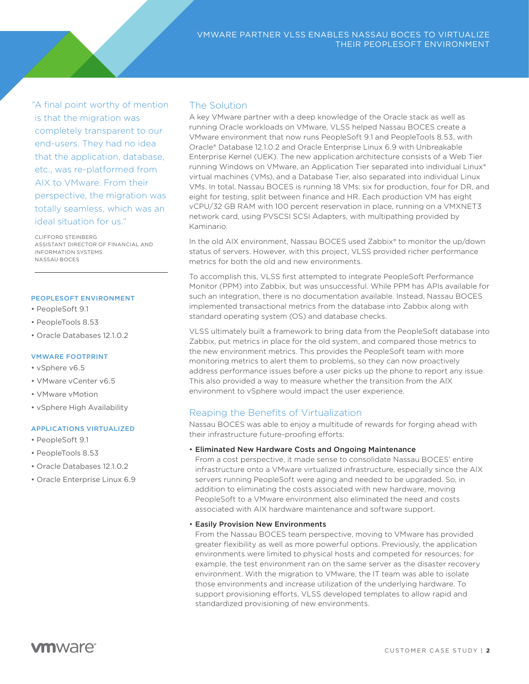*"*A final point worthy of mention is that the migration was completely transparent to our end-users. They had no idea that the application, database, etc., was re-platformed from AIX to VMware. From their perspective, the migration was totally seamless, which was an ideal situation for us."

CLIFFORD STEINBERG ASSISTANT DIRECTOR OF FINANCIAL AND INFORMATION SYSTEMS NASSAU BOCES

#### PEOPLESOFT ENVIRONMENT

- PeopleSoft 9.1
- PeopleTools 8.53
- Oracle Databases 12.1.0.2

#### VMWARE FOOTPRINT

- vSphere v6.5
- VMware vCenter v6.5
- VMware vMotion
- vSphere High Availability

#### APPLICATIONS VIRTUALIZED

- PeopleSoft 9.1
- PeopleTools 8.53
- Oracle Databases 12.1.0.2
- Oracle Enterprise Linux 6.9

## The Solution

A key VMware partner with a deep knowledge of the Oracle stack as well as running Oracle workloads on VMware, VLSS helped Nassau BOCES create a VMware environment that now runs PeopleSoft 9.1 and PeopleTools 8.53, with Oracle® Database 12.1.0.2 and Oracle Enterprise Linux 6.9 with Unbreakable Enterprise Kernel (UEK). The new application architecture consists of a Web Tier running Windows on VMware, an Application Tier separated into individual Linux® virtual machines (VMs), and a Database Tier, also separated into individual Linux VMs. In total, Nassau BOCES is running 18 VMs: six for production, four for DR, and eight for testing, split between finance and HR. Each production VM has eight vCPU/32 GB RAM with 100 percent reservation in place, running on a VMXNET3 network card, using PVSCSI SCSI Adapters, with multipathing provided by Kaminario.

In the old AIX environment, Nassau BOCES used Zabbix® to monitor the up/down status of servers. However, with this project, VLSS provided richer performance metrics for both the old and new environments.

To accomplish this, VLSS first attempted to integrate PeopleSoft Performance Monitor (PPM) into Zabbix, but was unsuccessful. While PPM has APIs available for such an integration, there is no documentation available. Instead, Nassau BOCES implemented transactional metrics from the database into Zabbix along with standard operating system (OS) and database checks.

VLSS ultimately built a framework to bring data from the PeopleSoft database into Zabbix, put metrics in place for the old system, and compared those metrics to the new environment metrics. This provides the PeopleSoft team with more monitoring metrics to alert them to problems, so they can now proactively address performance issues before a user picks up the phone to report any issue. This also provided a way to measure whether the transition from the AIX environment to vSphere would impact the user experience.

#### Reaping the Benefits of Virtualization

Nassau BOCES was able to enjoy a multitude of rewards for forging ahead with their infrastructure future-proofing efforts:

#### • Eliminated New Hardware Costs and Ongoing Maintenance

From a cost perspective, it made sense to consolidate Nassau BOCES' entire infrastructure onto a VMware virtualized infrastructure, especially since the AIX servers running PeopleSoft were aging and needed to be upgraded. So, in addition to eliminating the costs associated with new hardware, moving PeopleSoft to a VMware environment also eliminated the need and costs associated with AIX hardware maintenance and software support.

#### • Easily Provision New Environments

From the Nassau BOCES team perspective, moving to VMware has provided greater flexibility as well as more powerful options. Previously, the application environments were limited to physical hosts and competed for resources; for example, the test environment ran on the same server as the disaster recovery environment. With the migration to VMware, the IT team was able to isolate those environments and increase utilization of the underlying hardware. To support provisioning efforts, VLSS developed templates to allow rapid and standardized provisioning of new environments.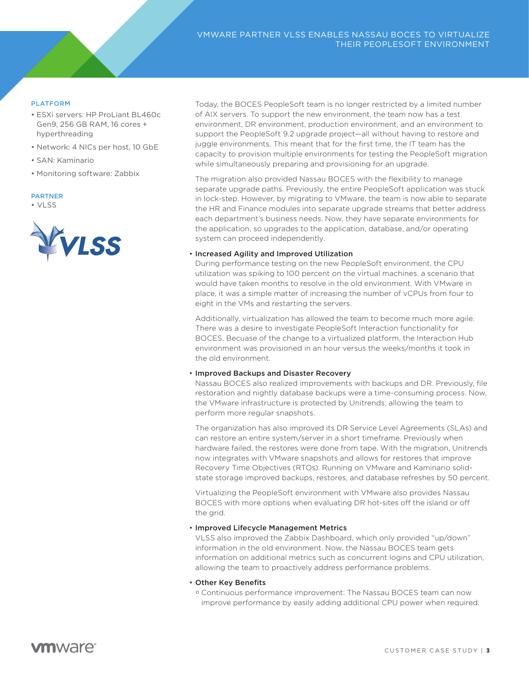## PLATFORM **Final point work wouldn't work work wouldn't work wouldn't work wouldn't wouldn't wouldn't wouldn't wouldn't wouldn't wouldn't wouldn't wouldn't wouldn't wouldn't wouldn't wouldn't wouldn't wouldn't wouldn't woul**

- ESXi servers: HP ProLiant BL460c complete the transparent to our control to the property of the set of the set of the set of the set of the set of the set of the set of the set of the set of the set of the set of the set of the set of the set of the set o Gen9, 256 GB RAM, 16 cores +
- Network: 4 NICs per host, 10 GbE
- SAN: Kaminario
- Monitoring software: Zabbix

#### perspective, the migration was PARTNER

totally seamless, which was an interested was an interested was an interested was an interested was an interested was an interested was an interested was an interested was an interested was an interested was an interested • VLSS



Today, the BOCES PeopleSoft team is no longer restricted by a limited number of AIX servers. To support the new environment, the team now has a test environment, DR environment, production environment, and an environment to support the PeopleSoft 9.2 upgrade project—all without having to restore and juggle environments. This meant that for the first time, the IT team has the capacity to provision multiple environments for testing the PeopleSoft migration while simultaneously preparing and provisioning for an upgrade.

The migration also provided Nassau BOCES with the flexibility to manage separate upgrade paths. Previously, the entire PeopleSoft application was stuck in lock-step. However, by migrating to VMware, the team is now able to separate the HR and Finance modules into separate upgrade streams that better address each department's business needs. Now, they have separate environments for the application, so upgrades to the application, database, and/or operating system can proceed independently.

#### • Increased Agility and Improved Utilization

During performance testing on the new PeopleSoft environment, the CPU utilization was spiking to 100 percent on the virtual machines, a scenario that would have taken months to resolve in the old environment. With VMware in place, it was a simple matter of increasing the number of vCPUs from four to eight in the VMs and restarting the servers.

Additionally, virtualization has allowed the team to become much more agile. There was a desire to investigate PeopleSoft Interaction functionality for BOCES. Becuase of the change to a virtualized platform, the Interaction Hub environment was provisioned in an hour versus the weeks/months it took in the old environment.

#### • Improved Backups and Disaster Recovery

Nassau BOCES also realized improvements with backups and DR. Previously, file restoration and nightly database backups were a time-consuming process. Now, the VMware infrastructure is protected by Unitrends, allowing the team to perform more regular snapshots.

The organization has also improved its DR Service Level Agreements (SLAs) and can restore an entire system/server in a short timeframe. Previously when hardware failed, the restores were done from tape. With the migration, Unitrends now integrates with VMware snapshots and allows for restores that improve Recovery Time Objectives (RTOs). Running on VMware and Kaminario solidstate storage improved backups, restores, and database refreshes by 50 percent.

Virtualizing the PeopleSoft environment with VMware also provides Nassau BOCES with more options when evaluating DR hot-sites off the island or off the grid.

#### • Improved Lifecycle Management Metrics

VLSS also improved the Zabbix Dashboard, which only provided "up/down" information in the old environment. Now, the Nassau BOCES team gets information on additional metrics such as concurrent logins and CPU utilization, allowing the team to proactively address performance problems.

#### • Other Key Benefits

° Continuous performance improvement: The Nassau BOCES team can now improve performance by easily adding additional CPU power when required.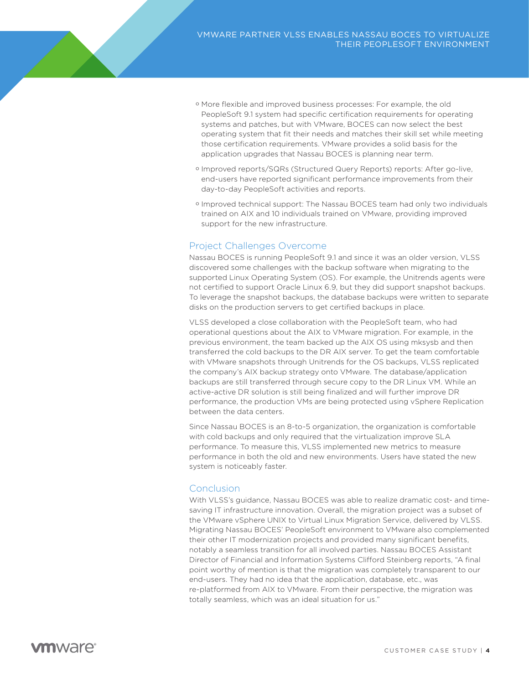- ° More flexible and improved business processes: For example, the old PeopleSoft 9.1 system had specific certification requirements for operating systems and patches, but with VMware, BOCES can now select the best operating system that fit their needs and matches their skill set while meeting those certification requirements. VMware provides a solid basis for the application upgrades that Nassau BOCES is planning near term.
- ° Improved reports/SQRs (Structured Query Reports) reports: After go-live, end-users have reported significant performance improvements from their day-to-day PeopleSoft activities and reports.
- ° Improved technical support: The Nassau BOCES team had only two individuals trained on AIX and 10 individuals trained on VMware, providing improved support for the new infrastructure.

## Project Challenges Overcome

Nassau BOCES is running PeopleSoft 9.1 and since it was an older version, VLSS discovered some challenges with the backup software when migrating to the supported Linux Operating System (OS). For example, the Unitrends agents were not certified to support Oracle Linux 6.9, but they did support snapshot backups. To leverage the snapshot backups, the database backups were written to separate disks on the production servers to get certified backups in place.

VLSS developed a close collaboration with the PeopleSoft team, who had operational questions about the AIX to VMware migration. For example, in the previous environment, the team backed up the AIX OS using mksysb and then transferred the cold backups to the DR AIX server. To get the team comfortable with VMware snapshots through Unitrends for the OS backups, VLSS replicated the company's AIX backup strategy onto VMware. The database/application backups are still transferred through secure copy to the DR Linux VM. While an active-active DR solution is still being finalized and will further improve DR performance, the production VMs are being protected using vSphere Replication between the data centers.

Since Nassau BOCES is an 8-to-5 organization, the organization is comfortable with cold backups and only required that the virtualization improve SLA performance. To measure this, VLSS implemented new metrics to measure performance in both the old and new environments. Users have stated the new system is noticeably faster.

### **Conclusion**

With VLSS's guidance, Nassau BOCES was able to realize dramatic cost- and timesaving IT infrastructure innovation. Overall, the migration project was a subset of the VMware vSphere UNIX to Virtual Linux Migration Service, delivered by VLSS. Migrating Nassau BOCES' PeopleSoft environment to VMware also complemented their other IT modernization projects and provided many significant benefits, notably a seamless transition for all involved parties. Nassau BOCES Assistant Director of Financial and Information Systems Clifford Steinberg reports, "A final point worthy of mention is that the migration was completely transparent to our end-users. They had no idea that the application, database, etc., was re-platformed from AIX to VMware. From their perspective, the migration was totally seamless, which was an ideal situation for us."